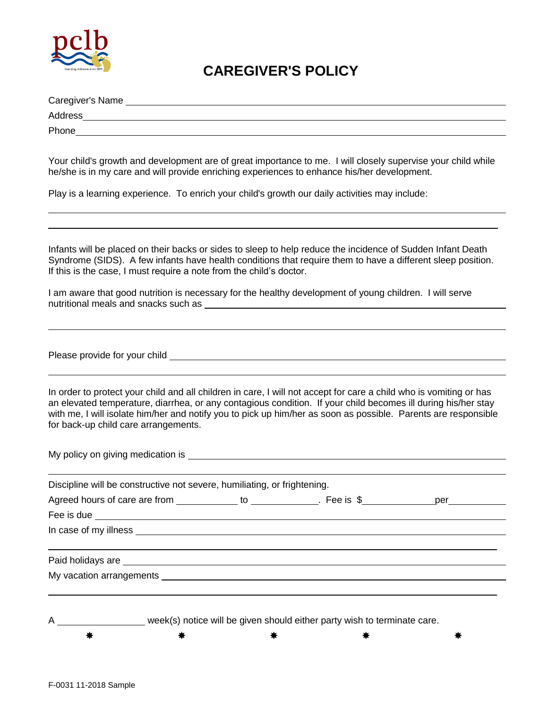

## **CAREGIVER'S POLICY**

| Caregiver's Name |  |  |
|------------------|--|--|
| Address          |  |  |
| Phone            |  |  |

Your child's growth and development are of great importance to me. I will closely supervise your child while he/she is in my care and will provide enriching experiences to enhance his/her development.

Play is a learning experience. To enrich your child's growth our daily activities may include:

Infants will be placed on their backs or sides to sleep to help reduce the incidence of Sudden Infant Death Syndrome (SIDS). A few infants have health conditions that require them to have a different sleep position. If this is the case, I must require a note from the child's doctor.

 $\_$  ,  $\_$  ,  $\_$  ,  $\_$  ,  $\_$  ,  $\_$  ,  $\_$  ,  $\_$  ,  $\_$  ,  $\_$  ,  $\_$  ,  $\_$  ,  $\_$  ,  $\_$  ,  $\_$  ,  $\_$  ,  $\_$  ,  $\_$  ,  $\_$  ,  $\_$  ,  $\_$  ,  $\_$  ,  $\_$  ,  $\_$  ,  $\_$  ,  $\_$  ,  $\_$  ,  $\_$  ,  $\_$  ,  $\_$  ,  $\_$  ,  $\_$  ,  $\_$  ,  $\_$  ,  $\_$  ,  $\_$  ,  $\_$  ,

I am aware that good nutrition is necessary for the healthy development of young children. I will serve nutritional meals and snacks such as **we are all the set of the set of the set of the set of the set of the set of the set of the set of the set of the set of the set of the set of the set of the set of the set of the set** 

Please provide for your child \_

In order to protect your child and all children in care, I will not accept for care a child who is vomiting or has an elevated temperature, diarrhea, or any contagious condition. If your child becomes ill during his/her stay with me, I will isolate him/her and notify you to pick up him/her as soon as possible. Parents are responsible for back-up child care arrangements.

| Discipline will be constructive not severe, humiliating, or frightening.               |  |  |               |  |  |
|----------------------------------------------------------------------------------------|--|--|---------------|--|--|
| Agreed hours of care are from _____________ to ______________. Fee is \$______________ |  |  | per__________ |  |  |
|                                                                                        |  |  |               |  |  |
|                                                                                        |  |  |               |  |  |
|                                                                                        |  |  |               |  |  |
|                                                                                        |  |  |               |  |  |
|                                                                                        |  |  |               |  |  |
|                                                                                        |  |  |               |  |  |
|                                                                                        |  |  |               |  |  |

week(s) notice will be given should either party wish to terminate care. ネント・キャン おおや おおや きょうかん 米 おおや きょうかい 米 おおや きょうかい きょうかい きょうかい きょうかい きょうかい きょうかい きょうかい きょうしょう きょうしょう きょうしょう きょうしょう